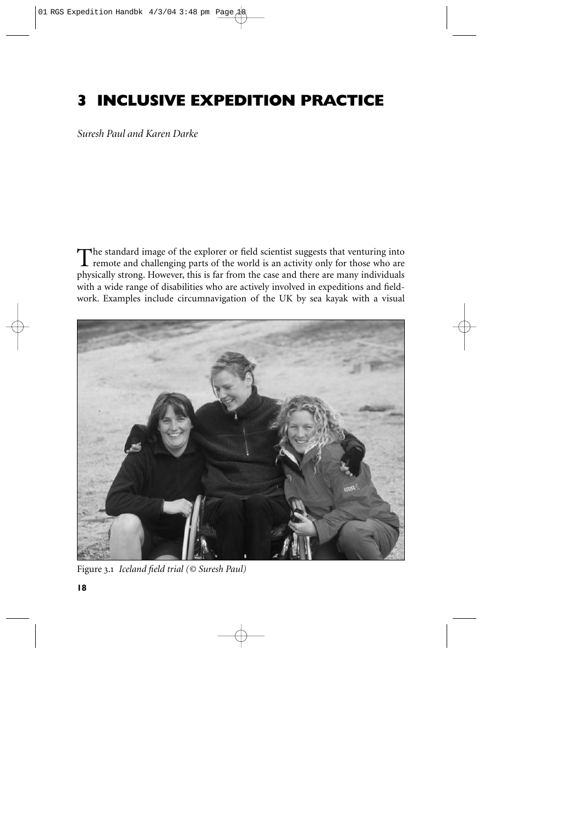*Suresh Paul and Karen Darke*

The standard image of the explorer or field scientist suggests that venturing into<br>remote and challenging parts of the world is an activity only for those who are physically strong. However, this is far from the case and there are many individuals with a wide range of disabilities who are actively involved in expeditions and fieldwork. Examples include circumnavigation of the UK by sea kayak with a visual



Figure 3.1 *Iceland field trial (© Suresh Paul)*

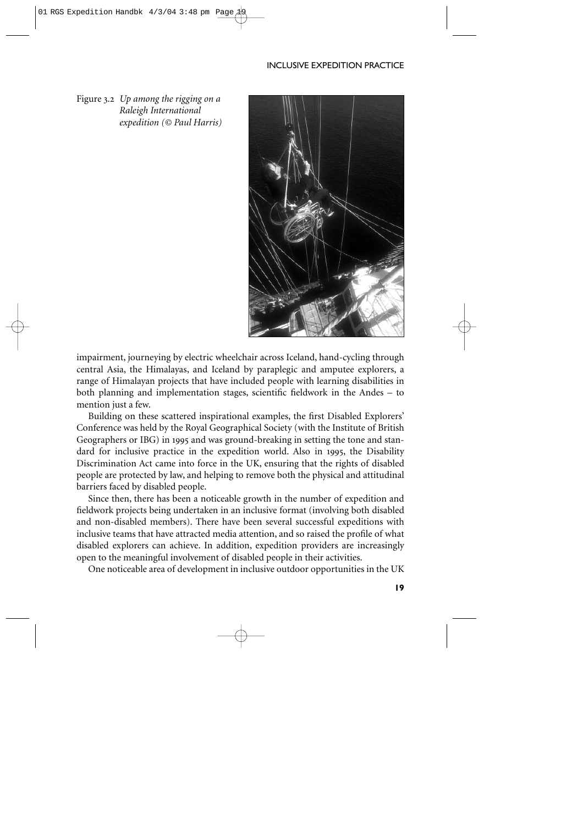Figure 3.2 *Up among the rigging on a Raleigh International expedition (© Paul Harris)*



impairment, journeying by electric wheelchair across Iceland, hand-cycling through central Asia, the Himalayas, and Iceland by paraplegic and amputee explorers, a range of Himalayan projects that have included people with learning disabilities in both planning and implementation stages, scientific fieldwork in the Andes – to mention just a few.

Building on these scattered inspirational examples, the first Disabled Explorers' Conference was held by the Royal Geographical Society (with the Institute of British Geographers or IBG) in 1995 and was ground-breaking in setting the tone and standard for inclusive practice in the expedition world. Also in 1995, the Disability Discrimination Act came into force in the UK, ensuring that the rights of disabled people are protected by law, and helping to remove both the physical and attitudinal barriers faced by disabled people.

Since then, there has been a noticeable growth in the number of expedition and fieldwork projects being undertaken in an inclusive format (involving both disabled and non-disabled members). There have been several successful expeditions with inclusive teams that have attracted media attention, and so raised the profile of what disabled explorers can achieve. In addition, expedition providers are increasingly open to the meaningful involvement of disabled people in their activities.

One noticeable area of development in inclusive outdoor opportunities in the UK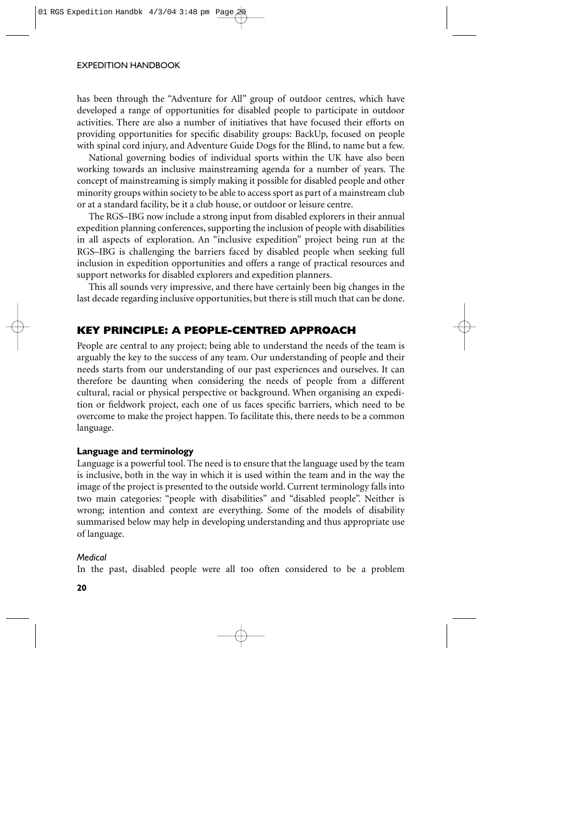has been through the "Adventure for All" group of outdoor centres, which have developed a range of opportunities for disabled people to participate in outdoor activities. There are also a number of initiatives that have focused their efforts on providing opportunities for specific disability groups: BackUp, focused on people with spinal cord injury, and Adventure Guide Dogs for the Blind, to name but a few.

National governing bodies of individual sports within the UK have also been working towards an inclusive mainstreaming agenda for a number of years. The concept of mainstreaming is simply making it possible for disabled people and other minority groups within society to be able to access sport as part of a mainstream club or at a standard facility, be it a club house, or outdoor or leisure centre.

The RGS–IBG now include a strong input from disabled explorers in their annual expedition planning conferences, supporting the inclusion of people with disabilities in all aspects of exploration. An "inclusive expedition" project being run at the RGS–IBG is challenging the barriers faced by disabled people when seeking full inclusion in expedition opportunities and offers a range of practical resources and support networks for disabled explorers and expedition planners.

This all sounds very impressive, and there have certainly been big changes in the last decade regarding inclusive opportunities, but there is still much that can be done.

# **KEY PRINCIPLE: A PEOPLE-CENTRED APPROACH**

People are central to any project; being able to understand the needs of the team is arguably the key to the success of any team. Our understanding of people and their needs starts from our understanding of our past experiences and ourselves. It can therefore be daunting when considering the needs of people from a different cultural, racial or physical perspective or background. When organising an expedition or fieldwork project, each one of us faces specific barriers, which need to be overcome to make the project happen. To facilitate this, there needs to be a common language.

### **Language and terminology**

Language is a powerful tool. The need is to ensure that the language used by the team is inclusive, both in the way in which it is used within the team and in the way the image of the project is presented to the outside world. Current terminology falls into two main categories: "people with disabilities" and "disabled people". Neither is wrong; intention and context are everything. Some of the models of disability summarised below may help in developing understanding and thus appropriate use of language.

#### *Medical*

In the past, disabled people were all too often considered to be a problem

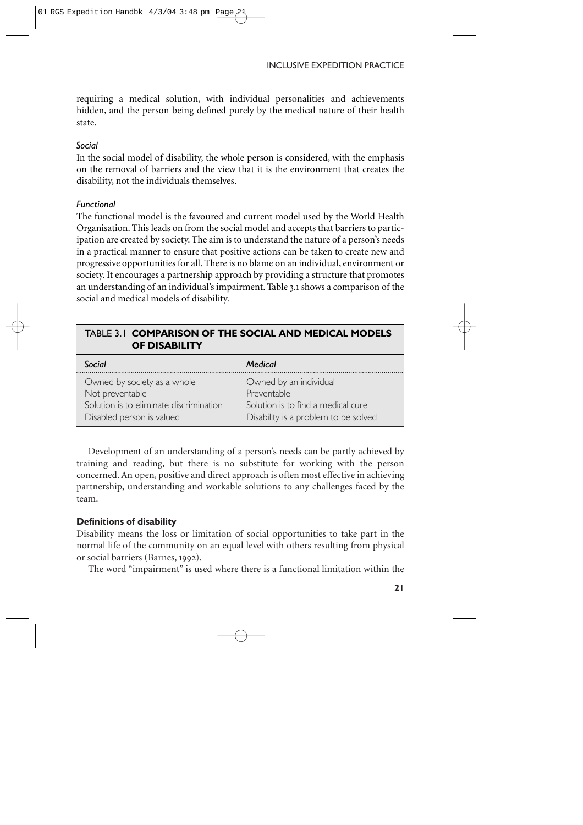requiring a medical solution, with individual personalities and achievements hidden, and the person being defined purely by the medical nature of their health state.

# *Social*

In the social model of disability, the whole person is considered, with the emphasis on the removal of barriers and the view that it is the environment that creates the disability, not the individuals themselves.

### *Functional*

The functional model is the favoured and current model used by the World Health Organisation. This leads on from the social model and accepts that barriers to participation are created by society. The aim is to understand the nature of a person's needs in a practical manner to ensure that positive actions can be taken to create new and progressive opportunities for all. There is no blame on an individual, environment or society. It encourages a partnership approach by providing a structure that promotes an understanding of an individual's impairment. Table 3.1 shows a comparison of the social and medical models of disability.

# TABLE 3.1 **COMPARISON OF THE SOCIAL AND MEDICAL MODELS OF DISABILITY**

| Medical                              |
|--------------------------------------|
| Owned by an individual               |
| Preventable                          |
| Solution is to find a medical cure   |
| Disability is a problem to be solved |
|                                      |

Development of an understanding of a person's needs can be partly achieved by training and reading, but there is no substitute for working with the person concerned. An open, positive and direct approach is often most effective in achieving partnership, understanding and workable solutions to any challenges faced by the team.

### **Definitions of disability**

Disability means the loss or limitation of social opportunities to take part in the normal life of the community on an equal level with others resulting from physical or social barriers (Barnes, 1992).

The word "impairment" is used where there is a functional limitation within the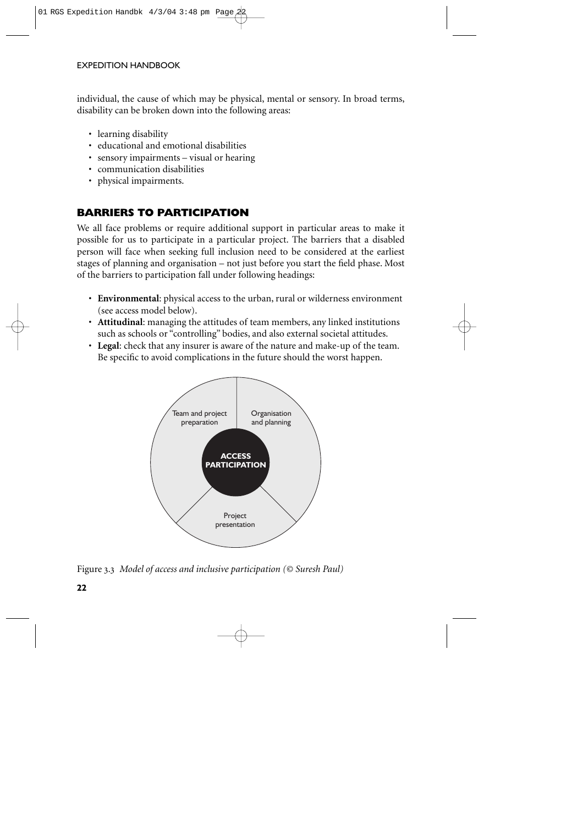individual, the cause of which may be physical, mental or sensory. In broad terms, disability can be broken down into the following areas:

- learning disability
- educational and emotional disabilities
- sensory impairments visual or hearing
- communication disabilities
- physical impairments.

# **BARRIERS TO PARTICIPATION**

We all face problems or require additional support in particular areas to make it possible for us to participate in a particular project. The barriers that a disabled person will face when seeking full inclusion need to be considered at the earliest stages of planning and organisation – not just before you start the field phase. Most of the barriers to participation fall under following headings:

- **Environmental**: physical access to the urban, rural or wilderness environment (see access model below).
- **Attitudinal**: managing the attitudes of team members, any linked institutions such as schools or "controlling" bodies, and also external societal attitudes.
- **Legal**: check that any insurer is aware of the nature and make-up of the team. Be specific to avoid complications in the future should the worst happen.



**22** Figure 3.3 *Model of access and inclusive participation (© Suresh Paul)*

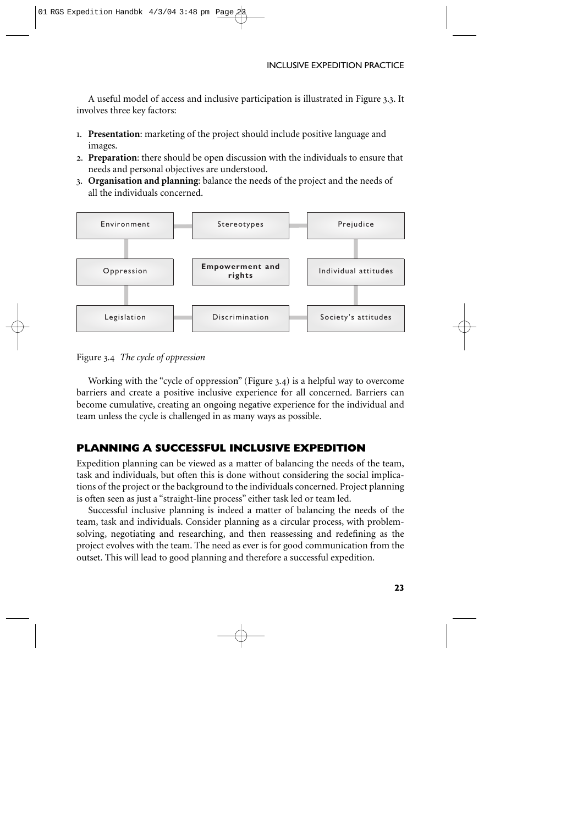A useful model of access and inclusive participation is illustrated in Figure 3.3. It involves three key factors:

- 1. **Presentation**: marketing of the project should include positive language and images.
- 2. **Preparation**: there should be open discussion with the individuals to ensure that needs and personal objectives are understood.
- 3. **Organisation and planning**: balance the needs of the project and the needs of all the individuals concerned.



Figure 3.4 *The cycle of oppression*

Working with the "cycle of oppression" (Figure 3.4) is a helpful way to overcome barriers and create a positive inclusive experience for all concerned. Barriers can become cumulative, creating an ongoing negative experience for the individual and team unless the cycle is challenged in as many ways as possible.

# **PLANNING A SUCCESSFUL INCLUSIVE EXPEDITION**

Expedition planning can be viewed as a matter of balancing the needs of the team, task and individuals, but often this is done without considering the social implications of the project or the background to the individuals concerned. Project planning is often seen as just a "straight-line process" either task led or team led.

Successful inclusive planning is indeed a matter of balancing the needs of the team, task and individuals. Consider planning as a circular process, with problemsolving, negotiating and researching, and then reassessing and redefining as the project evolves with the team. The need as ever is for good communication from the outset. This will lead to good planning and therefore a successful expedition.



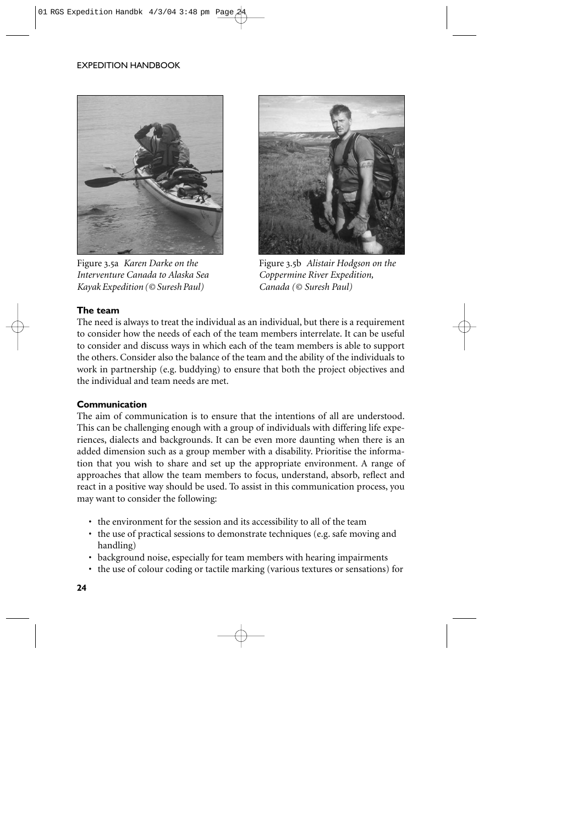

Figure 3.5a *Karen Darke on the Interventure Canada to Alaska Sea Kayak Expedition (© Suresh Paul)*



Figure 3.5b *Alistair Hodgson on the Coppermine River Expedition, Canada (© Suresh Paul)*

### **The team**

The need is always to treat the individual as an individual, but there is a requirement to consider how the needs of each of the team members interrelate. It can be useful to consider and discuss ways in which each of the team members is able to support the others. Consider also the balance of the team and the ability of the individuals to work in partnership (e.g. buddying) to ensure that both the project objectives and the individual and team needs are met.

# **Communication**

The aim of communication is to ensure that the intentions of all are understood. This can be challenging enough with a group of individuals with differing life experiences, dialects and backgrounds. It can be even more daunting when there is an added dimension such as a group member with a disability. Prioritise the information that you wish to share and set up the appropriate environment. A range of approaches that allow the team members to focus, understand, absorb, reflect and react in a positive way should be used. To assist in this communication process, you may want to consider the following:

- the environment for the session and its accessibility to all of the team
- the use of practical sessions to demonstrate techniques (e.g. safe moving and handling)
- background noise, especially for team members with hearing impairments
- the use of colour coding or tactile marking (various textures or sensations) for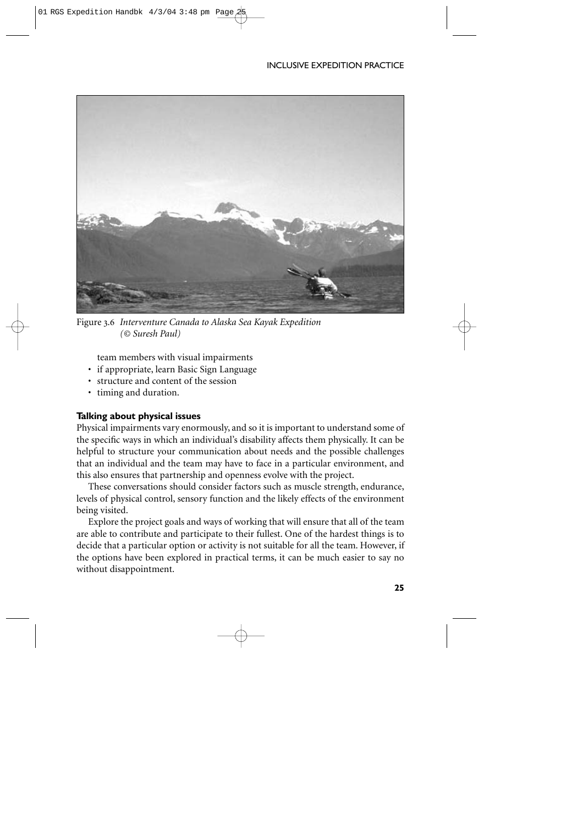

Figure 3.6 *Interventure Canada to Alaska Sea Kayak Expedition (© Suresh Paul)*

team members with visual impairments

- if appropriate, learn Basic Sign Language
- structure and content of the session
- timing and duration.

# **Talking about physical issues**

Physical impairments vary enormously, and so it is important to understand some of the specific ways in which an individual's disability affects them physically. It can be helpful to structure your communication about needs and the possible challenges that an individual and the team may have to face in a particular environment, and this also ensures that partnership and openness evolve with the project.

These conversations should consider factors such as muscle strength, endurance, levels of physical control, sensory function and the likely effects of the environment being visited.

Explore the project goals and ways of working that will ensure that all of the team are able to contribute and participate to their fullest. One of the hardest things is to decide that a particular option or activity is not suitable for all the team. However, if the options have been explored in practical terms, it can be much easier to say no without disappointment.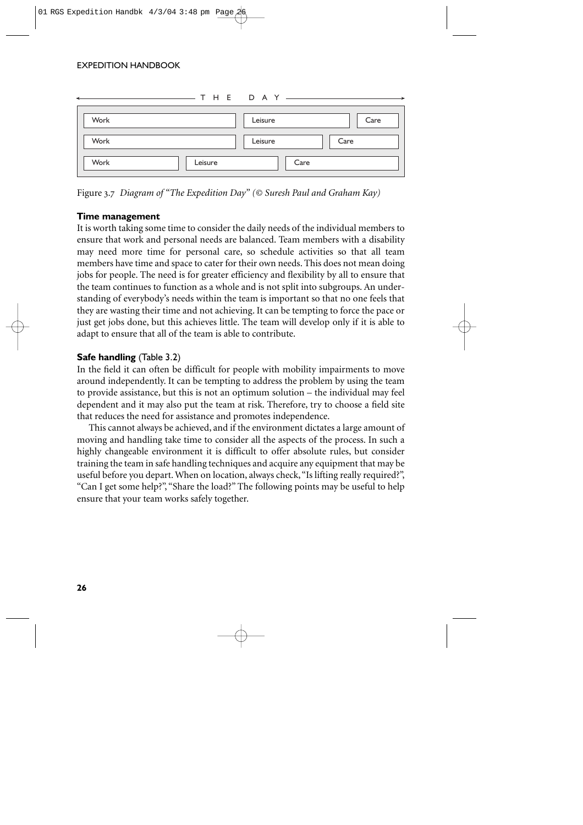| Work            | Leisure<br>Care |
|-----------------|-----------------|
| Work            | Leisure<br>Care |
| Work<br>Leisure | Care            |

Figure 3.7 *Diagram of "The Expedition Day" (© Suresh Paul and Graham Kay)*

### **Time management**

It is worth taking some time to consider the daily needs of the individual members to ensure that work and personal needs are balanced. Team members with a disability may need more time for personal care, so schedule activities so that all team members have time and space to cater for their own needs. This does not mean doing jobs for people. The need is for greater efficiency and flexibility by all to ensure that the team continues to function as a whole and is not split into subgroups. An understanding of everybody's needs within the team is important so that no one feels that they are wasting their time and not achieving. It can be tempting to force the pace or just get jobs done, but this achieves little. The team will develop only if it is able to adapt to ensure that all of the team is able to contribute.

## **Safe handling** (Table 3.2)

In the field it can often be difficult for people with mobility impairments to move around independently. It can be tempting to address the problem by using the team to provide assistance, but this is not an optimum solution – the individual may feel dependent and it may also put the team at risk. Therefore, try to choose a field site that reduces the need for assistance and promotes independence.

This cannot always be achieved, and if the environment dictates a large amount of moving and handling take time to consider all the aspects of the process. In such a highly changeable environment it is difficult to offer absolute rules, but consider training the team in safe handling techniques and acquire any equipment that may be useful before you depart. When on location, always check,"Is lifting really required?", "Can I get some help?", "Share the load?" The following points may be useful to help ensure that your team works safely together.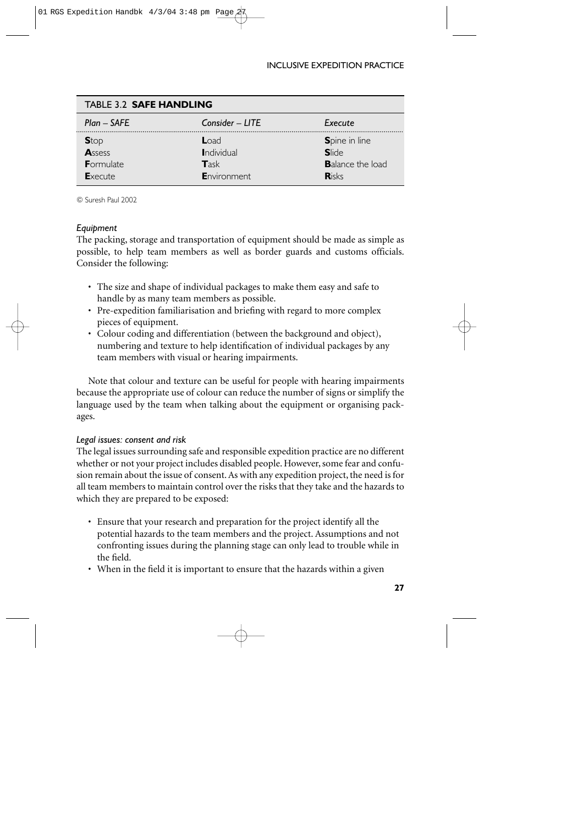| <b>TABLE 3.2 SAFE HANDLING</b>             |                            |                                                           |  |
|--------------------------------------------|----------------------------|-----------------------------------------------------------|--|
| $Plan - SAFE$                              | Consider - LITE            | Execute                                                   |  |
| <b>Stop</b><br>Assess<br><b>F</b> ormulate | Load<br>Individual<br>Task | Spine in line<br><b>Slide</b><br><b>B</b> alance the load |  |
| <b>Execute</b>                             | <b>E</b> nvironment        | <b>Risks</b>                                              |  |

© Suresh Paul 2002

### *Equipment*

The packing, storage and transportation of equipment should be made as simple as possible, to help team members as well as border guards and customs officials. Consider the following:

- The size and shape of individual packages to make them easy and safe to handle by as many team members as possible.
- Pre-expedition familiarisation and briefing with regard to more complex pieces of equipment.
- Colour coding and differentiation (between the background and object), numbering and texture to help identification of individual packages by any team members with visual or hearing impairments.

Note that colour and texture can be useful for people with hearing impairments because the appropriate use of colour can reduce the number of signs or simplify the language used by the team when talking about the equipment or organising packages.

#### *Legal issues: consent and risk*

The legal issues surrounding safe and responsible expedition practice are no different whether or not your project includes disabled people. However, some fear and confusion remain about the issue of consent. As with any expedition project, the need is for all team members to maintain control over the risks that they take and the hazards to which they are prepared to be exposed:

- Ensure that your research and preparation for the project identify all the potential hazards to the team members and the project. Assumptions and not confronting issues during the planning stage can only lead to trouble while in the field.
- When in the field it is important to ensure that the hazards within a given

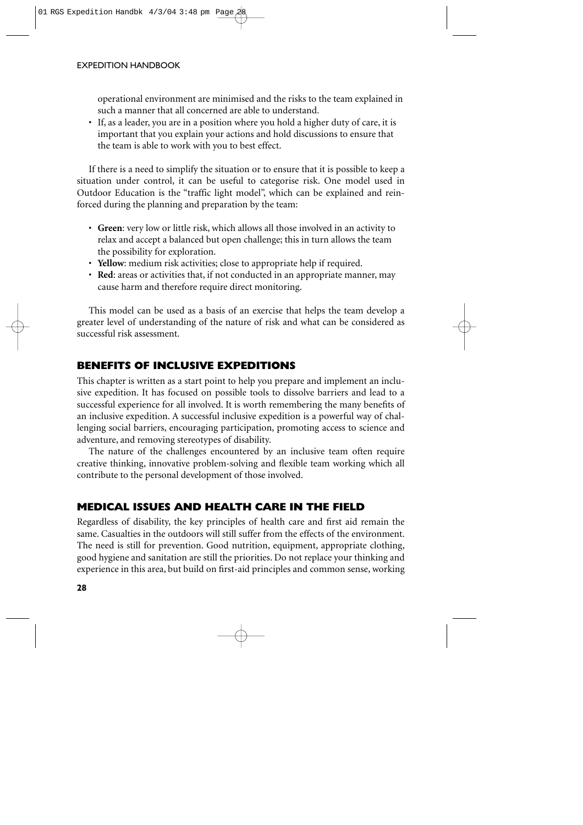operational environment are minimised and the risks to the team explained in such a manner that all concerned are able to understand.

• If, as a leader, you are in a position where you hold a higher duty of care, it is important that you explain your actions and hold discussions to ensure that the team is able to work with you to best effect.

If there is a need to simplify the situation or to ensure that it is possible to keep a situation under control, it can be useful to categorise risk. One model used in Outdoor Education is the "traffic light model", which can be explained and reinforced during the planning and preparation by the team:

- **Green**: very low or little risk, which allows all those involved in an activity to relax and accept a balanced but open challenge; this in turn allows the team the possibility for exploration.
- **Yellow**: medium risk activities; close to appropriate help if required.
- **Red**: areas or activities that, if not conducted in an appropriate manner, may cause harm and therefore require direct monitoring.

This model can be used as a basis of an exercise that helps the team develop a greater level of understanding of the nature of risk and what can be considered as successful risk assessment.

# **BENEFITS OF INCLUSIVE EXPEDITIONS**

This chapter is written as a start point to help you prepare and implement an inclusive expedition. It has focused on possible tools to dissolve barriers and lead to a successful experience for all involved. It is worth remembering the many benefits of an inclusive expedition. A successful inclusive expedition is a powerful way of challenging social barriers, encouraging participation, promoting access to science and adventure, and removing stereotypes of disability.

The nature of the challenges encountered by an inclusive team often require creative thinking, innovative problem-solving and flexible team working which all contribute to the personal development of those involved.

# **MEDICAL ISSUES AND HEALTH CARE IN THE FIELD**

Regardless of disability, the key principles of health care and first aid remain the same. Casualties in the outdoors will still suffer from the effects of the environment. The need is still for prevention. Good nutrition, equipment, appropriate clothing, good hygiene and sanitation are still the priorities. Do not replace your thinking and experience in this area, but build on first-aid principles and common sense, working

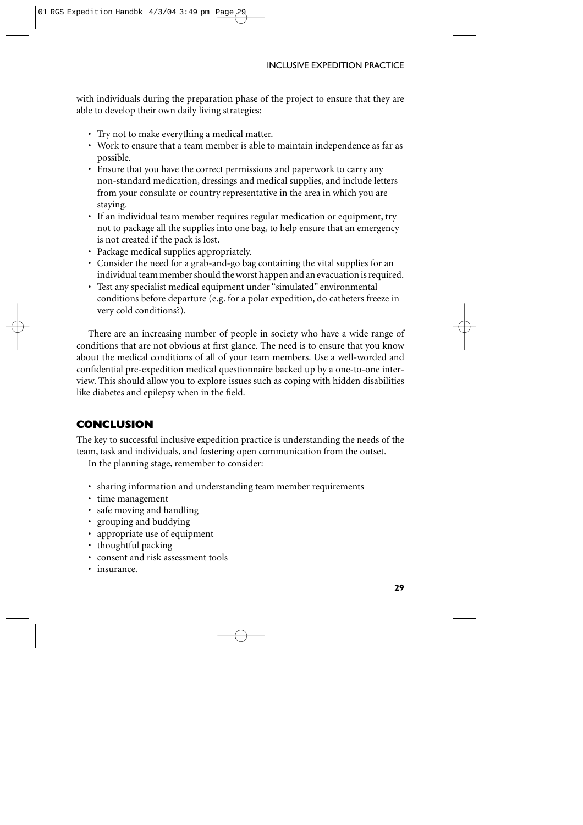with individuals during the preparation phase of the project to ensure that they are able to develop their own daily living strategies:

- Try not to make everything a medical matter.
- Work to ensure that a team member is able to maintain independence as far as possible.
- Ensure that you have the correct permissions and paperwork to carry any non-standard medication, dressings and medical supplies, and include letters from your consulate or country representative in the area in which you are staying.
- If an individual team member requires regular medication or equipment, try not to package all the supplies into one bag, to help ensure that an emergency is not created if the pack is lost.
- Package medical supplies appropriately.
- Consider the need for a grab-and-go bag containing the vital supplies for an individual team member should the worst happen and an evacuation is required.
- Test any specialist medical equipment under "simulated" environmental conditions before departure (e.g. for a polar expedition, do catheters freeze in very cold conditions?).

There are an increasing number of people in society who have a wide range of conditions that are not obvious at first glance. The need is to ensure that you know about the medical conditions of all of your team members. Use a well-worded and confidential pre-expedition medical questionnaire backed up by a one-to-one interview. This should allow you to explore issues such as coping with hidden disabilities like diabetes and epilepsy when in the field.

# **CONCLUSION**

The key to successful inclusive expedition practice is understanding the needs of the team, task and individuals, and fostering open communication from the outset.

In the planning stage, remember to consider:

- sharing information and understanding team member requirements
- time management
- safe moving and handling
- grouping and buddying
- appropriate use of equipment
- thoughtful packing
- consent and risk assessment tools
- insurance.

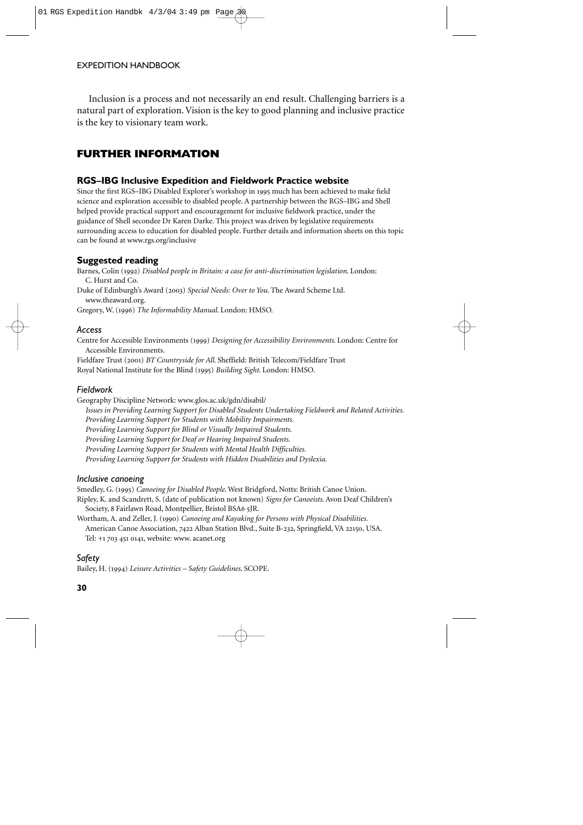Inclusion is a process and not necessarily an end result. Challenging barriers is a natural part of exploration. Vision is the key to good planning and inclusive practice is the key to visionary team work.

# **FURTHER INFORMATION**

#### **RGS–IBG Inclusive Expedition and Fieldwork Practice website**

Since the first RGS–IBG Disabled Explorer's workshop in 1995 much has been achieved to make field science and exploration accessible to disabled people. A partnership between the RGS–IBG and Shell helped provide practical support and encouragement for inclusive fieldwork practice, under the guidance of Shell secondee Dr Karen Darke. This project was driven by legislative requirements surrounding access to education for disabled people. Further details and information sheets on this topic can be found at www.rgs.org/inclusive

#### **Suggested reading**

- Barnes, Colin (1992) *Disabled people in Britain: a case for anti-discrimination legislation*. London: C. Hurst and Co.
- Duke of Edinburgh's Award (2003) *Special Needs: Over to You*. The Award Scheme Ltd. www.theaward.org.

Gregory, W. (1996) *The Informability Manual*. London: HMSO.

#### *Access*

Centre for Accessible Environments (1999) *Designing for Accessibility Environments*. London: Centre for Accessible Environments.

Fieldfare Trust (2001) *BT Countryside for All*. Sheffield: British Telecom/Fieldfare Trust Royal National Institute for the Blind (1995) *Building Sight*. London: HMSO.

#### *Fieldwork*

Geography Discipline Network: www.glos.ac.uk/gdn/disabil/

- *Issues in Providing Learning Support for Disabled Students Undertaking Fieldwork and Related Activities. Providing Learning Support for Students with Mobility Impairments. Providing Learning Support for Blind or Visually Impaired Students. Providing Learning Support for Deaf or Hearing Impaired Students.*
- *Providing Learning Support for Students with Mental Health Difficulties.*

*Providing Learning Support for Students with Hidden Disabilities and Dyslexia.*

#### *Inclusive canoeing*

Smedley, G. (1995) *Canoeing for Disabled People*. West Bridgford, Notts: British Canoe Union. Ripley, K. and Scandrett, S. (date of publication not known) *Signs for Canoeists*. Avon Deaf Children's Society, 8 Fairlawn Road, Montpellier, Bristol BSA6 5JR.

Wortham, A. and Zeller, J. (1990) *Canoeing and Kayaking for Persons with Physical Disabilities.* American Canoe Association, 7422 Alban Station Blvd., Suite B-232, Springfield, VA 22150, USA. Tel: +1 703 451 0141, website: www. acanet.org

*Safety*

Bailey, H. (1994) *Leisure Activities – Safety Guidelines*. SCOPE.